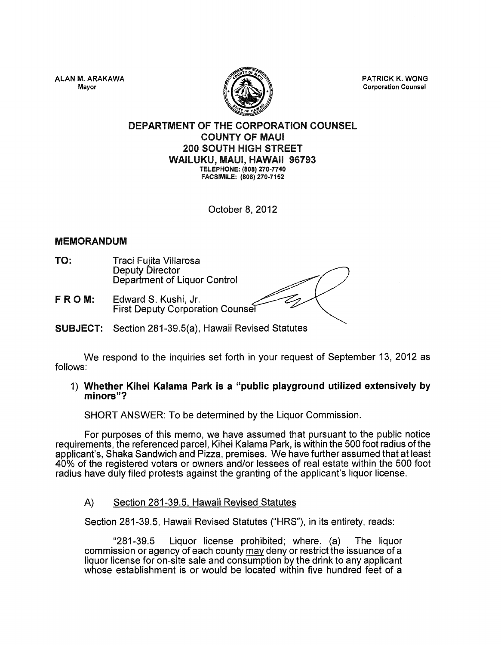ALAN M. ARAKAWA Mayor



PATRICK K. WONG Corporation Counsel

# DEPARTMENT OF THE CORPORATION COUNSEL COUNTY OF MAUl 200 SOUTH HIGH STREET WAILUKU, MAUl, HAWAII 96793 TElEPHONE: (808) 270-7740 FACSIMilE: (808) 270-7152

October 8, 2012

# MEMORANDUM

- TO: Traci Fujita Villarosa Deputy Director Department of Liquor Control
- FROM: Edward S. Kushi, Jr. First Deputy Corporation Counse
- SUBJECT: Section 281-39.5(a), Hawaii Revised Statutes

We respond to the inquiries set forth in your request of September 13, 2012 as follows:

## 1) Whether Kihei Kalama Park is a "public playground utilized extensively by minors"?

SHORT ANSWER: To be determined by the Liquor Commission.

For purposes of this memo, we have assumed that pursuant to the public notice requirements, the referenced parcel, Kihei Kalama Park, is within the 500 foot radius of the applicant's, Shaka Sandwich and Pizza, premises. We have further assumed that at least 40% of the registered voters or owners and/or lessees of real estate within the 500 foot radius have duly filed protests against the granting of the applicant's liquor license.

A) Section 281-39.5, Hawaii Revised Statutes

Section 281-39.5, Hawaii Revised Statutes ("HRS"), in its entirety, reads:

"281-39.5 Liquor license prohibited; where. (a) The liquor commission or agency of each county may deny or restrict the issuance of a liquor license for on-site sale and consumption by the drink to any applicant whose establishment is or would be located within five hundred feet of a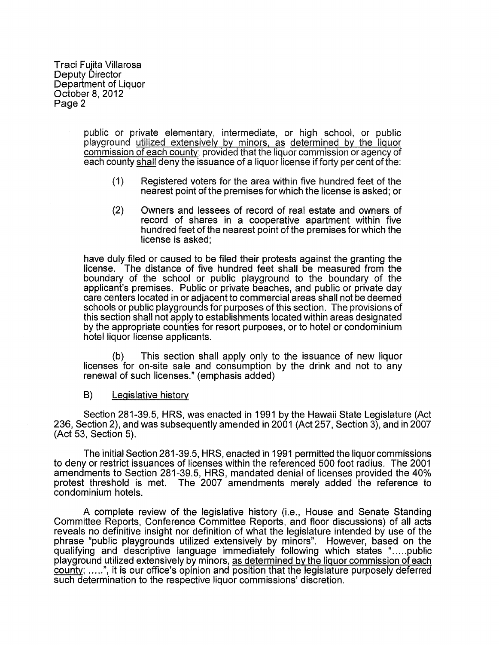Traci Fujita Villarosa Deputy Director Department of Liquor October 8, 2012 Page 2

> public or private elementary, intermediate, or high school, or public playground utilized extensively by minors. as determined by the liquor commission of each county; provided that the liquor commission or agency of each county shall deny the issuance of a liquor license if forty per cent of the:

- ( 1) Registered voters for the area within five hundred feet of the nearest point of the premises for which the license is asked; or
- (2) Owners and lessees of record of real estate and owners of record of shares in a cooperative apartment within five hundred feet of the nearest point of the premises for which the license is asked;

have duly filed or caused to be filed their protests against the granting the license. The distance of five hundred feet shall be measured from the boundary of the school or public playground to the boundary of the applicant's premises. Public or private beaches, and public or private day care centers located in or adjacent to commercial areas shall not be deemed schools or public playgrounds for purposes of this section. The provisions of this section shall not apply to establishments located within areas designated by the appropriate counties for resort purposes, or to hotel or condominium hotel liquor license applicants.

(b) This section shall apply only to the issuance of new liquor licenses for on-site sale and consumption by the drink and not to any renewal of such licenses." (emphasis added)

B) Legislative history

Section 281-39.5, HRS, was enacted in 1991 by the Hawaii State Legislature (Act 236, Section 2), and was subsequently amended in 2001 (Act 257, Section 3), and in 2007 (Act 53, Section 5).

The initial Section 281-39.5, HRS, enacted in 1991 permitted the liquor commissions to deny or restrict issuances of licenses within the referenced 500 foot radius. The 2001 amendments to Section 281-39.5, HRS, mandated denial of licenses provided the 40% protest threshold is met. The 2007 amendments merely added the reference to condominium hotels.

A complete review of the legislative history (i.e., House and Senate Standing Committee Reports, Conference Committee Reports, and floor discussions) of all acts reveals no definitive insight nor definition of what the legislature intended by use of the phrase "public playgrounds utilized extensively by minors". However, based on the qualifying and descriptive language immediately following which states ".....public playground utilized extensively by minors, as determined by the liquor commission of each county; ..... ", it is our office's opinion and position that the legislature purposely deferred such determination to the respective liquor commissions' discretion.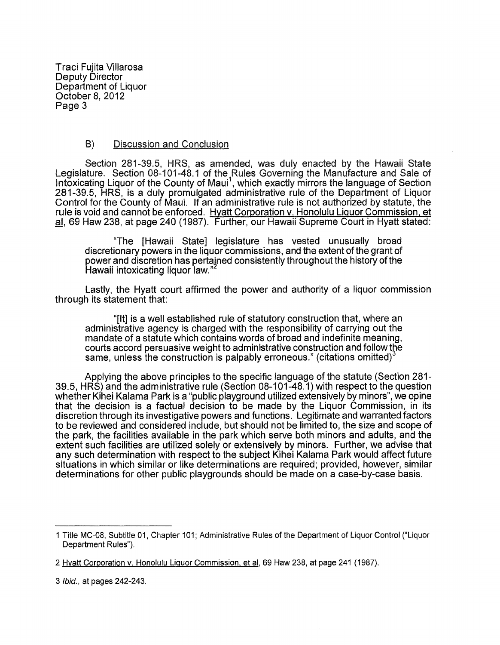Traci Fujita Villarosa Deputy Director Department of Liquor October 8, 2012 Page 3

# B) Discussion and Conclusion

Section 281-39.5, HRS, as amended, was duly enacted by the Hawaii State Legislature. Section 08-101-48.1 of the Rules Governing the Manufacture and Sale of Int $\check{\textsf{ox}}$ icating Liquor of the County of Maui $^1$ , which exactly mirrors the language of Section 281-39.5, HRS, is a duly promulgated administrative rule of the Department of Liquor Control for the County of Maui. If an administrative rule is not authorized by statute, the rule is void and cannot be enforced. Hyatt Corporation v. Honolulu Liquor Commission, et al, 69 Haw 238, at page 240 (1987). Further, our Hawaii Supreme Court in Hyatt stated:

"The [Hawaii State] legislature has vested unusually broad discretionary powers in the liquor commissions, and the extent ofthe grant of power and discretion has pertained consistently throughout the history of the Hawaii intoxicating liquor law."

Lastly, the Hyatt court affirmed the power and authority of a liquor commission through its statement that:

"[It] is a well established rule of statutory construction that, where an administrative agency is charged with the responsibility of carrying out the mandate of a statute which contains words of broad and indefinite meaning, courts accord persuasive weight to administrative construction and follow the same, unless the construction is palpably erroneous." (citations omitted)<sup>3</sup>

Applying the above principles to the specific language of the statute (Section 281- 39.5, HRS) and the administrative rule (Section 08-101-48.1) with respect to the question whether Kihei Kalama Park is a "public playground utilized extensively by minors", we opine that the decision is a factual decision to be made by the Liquor Commission, in its discretion through its investigative powers and functions. Legitimate and warranted factors to be reviewed and considered include, but should not be limited to, the size and scope of the park, the facilities available in the park which serve both minors and adults, and the extent such facilities are utilized solely or extensively by minors. Further, we advise that any such determination with respect to the subject Kihei Kalama Park would affect future situations in which similar or like determinations are required; provided, however, similar determinations for other public playgrounds should be made on a case-by-case basis.

<sup>1</sup> Title MC-08, Subtitle 01. Chapter 1 01; Administrative Rules of the Department of Liquor Control ("Liquor Department Rules").

<sup>2</sup> Hyatt Corporation v. Honolulu Liquor Commission, et al, 69 Haw 238, at page 241 (1987).

<sup>3</sup> *Ibid.*, at pages 242-243.